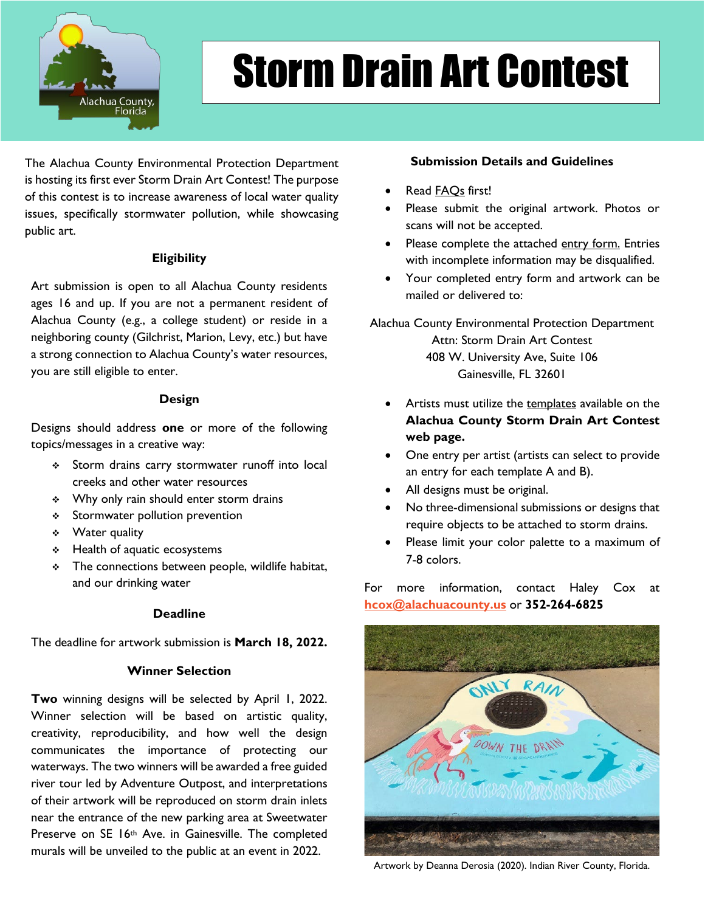

# Storm Drain Art Contest

The Alachua County Environmental Protection Department is hosting its first ever Storm Drain Art Contest! The purpose of this contest is to increase awareness of local water quality issues, specifically stormwater pollution, while showcasing public art.

#### **Eligibility**

Art submission is open to all Alachua County residents ages 16 and up. If you are not a permanent resident of Alachua County (e.g., a college student) or reside in a neighboring county (Gilchrist, Marion, Levy, etc.) but have a strong connection to Alachua County's water resources, you are still eligible to enter.

#### **Design**

Designs should address **one** or more of the following topics/messages in a creative way:

- Storm drains carry stormwater runoff into local creeks and other water resources
- Why only rain should enter storm drains
- **Stormwater pollution prevention**
- Water quality
- **↓** Health of aquatic ecosystems
- $\div$  The connections between people, wildlife habitat, and our drinking water

#### **Deadline**

The deadline for artwork submission is **March 18, 2022.**

### **Winner Selection**

**Two** winning designs will be selected by April 1, 2022. Winner selection will be based on artistic quality, creativity, reproducibility, and how well the design communicates the importance of protecting our waterways. The two winners will be awarded a free guided river tour led by Adventure Outpost, and interpretations of their artwork will be reproduced on storm drain inlets near the entrance of the new parking area at Sweetwater Preserve on SE 16th Ave. in Gainesville. The completed murals will be unveiled to the public at an event in 2022.

### **Submission Details and Guidelines**

- Read **FAQs** first!
- Please submit the original artwork. Photos or scans will not be accepted.
- Please complete the attached entry form. Entries with incomplete information may be disqualified.
- Your completed entry form and artwork can be mailed or delivered to:

Alachua County Environmental Protection Department Attn: Storm Drain Art Contest 408 W. University Ave, Suite 106 Gainesville, FL 32601

- Artists must utilize the templates available on the **Alachua County Storm Drain Art Contest web page.**
- One entry per artist (artists can select to provide an entry for each template A and B).
- All designs must be original.
- No three-dimensional submissions or designs that require objects to be attached to storm drains.
- Please limit your color palette to a maximum of 7-8 colors.

For more information, contact Haley Cox at **[hcox@alachuacounty.us](mailto:hcox@alachuacounty.us)** or **352-264-6825**



Artwork by Deanna Derosia (2020). Indian River County, Florida.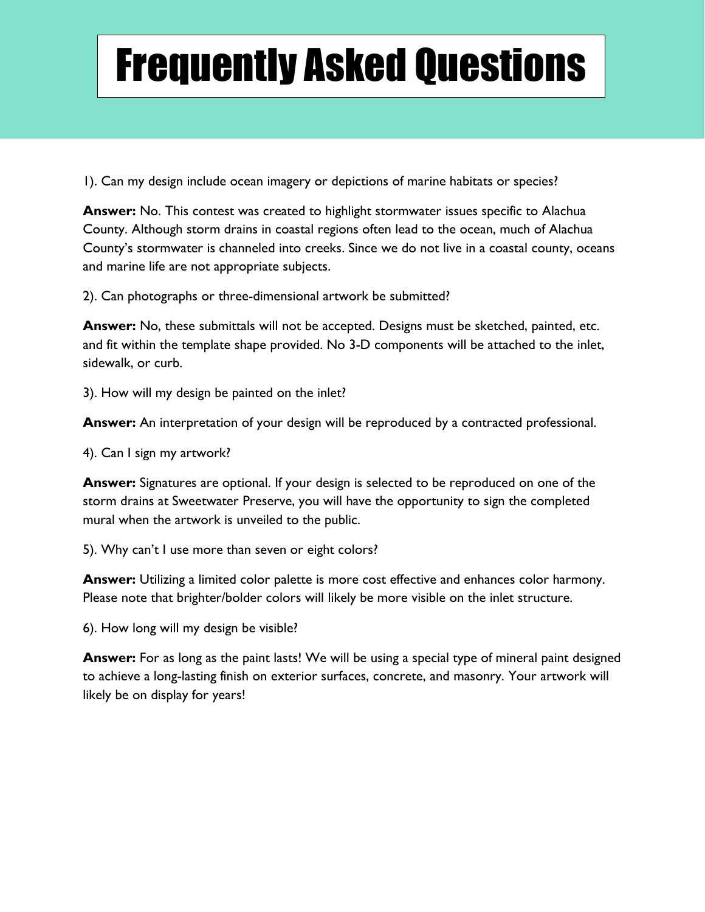## Frequently Asked Questions

1). Can my design include ocean imagery or depictions of marine habitats or species?

**Answer:** No. This contest was created to highlight stormwater issues specific to Alachua County. Although storm drains in coastal regions often lead to the ocean, much of Alachua County's stormwater is channeled into creeks. Since we do not live in a coastal county, oceans and marine life are not appropriate subjects.

2). Can photographs or three-dimensional artwork be submitted?

**Answer:** No, these submittals will not be accepted. Designs must be sketched, painted, etc. and fit within the template shape provided. No 3-D components will be attached to the inlet, sidewalk, or curb.

3). How will my design be painted on the inlet?

**Answer:** An interpretation of your design will be reproduced by a contracted professional.

4). Can I sign my artwork?

**Answer:** Signatures are optional. If your design is selected to be reproduced on one of the storm drains at Sweetwater Preserve, you will have the opportunity to sign the completed mural when the artwork is unveiled to the public.

5). Why can't I use more than seven or eight colors?

**Answer:** Utilizing a limited color palette is more cost effective and enhances color harmony. Please note that brighter/bolder colors will likely be more visible on the inlet structure.

6). How long will my design be visible?

**Answer:** For as long as the paint lasts! We will be using a special type of mineral paint designed to achieve a long-lasting finish on exterior surfaces, concrete, and masonry. Your artwork will likely be on display for years!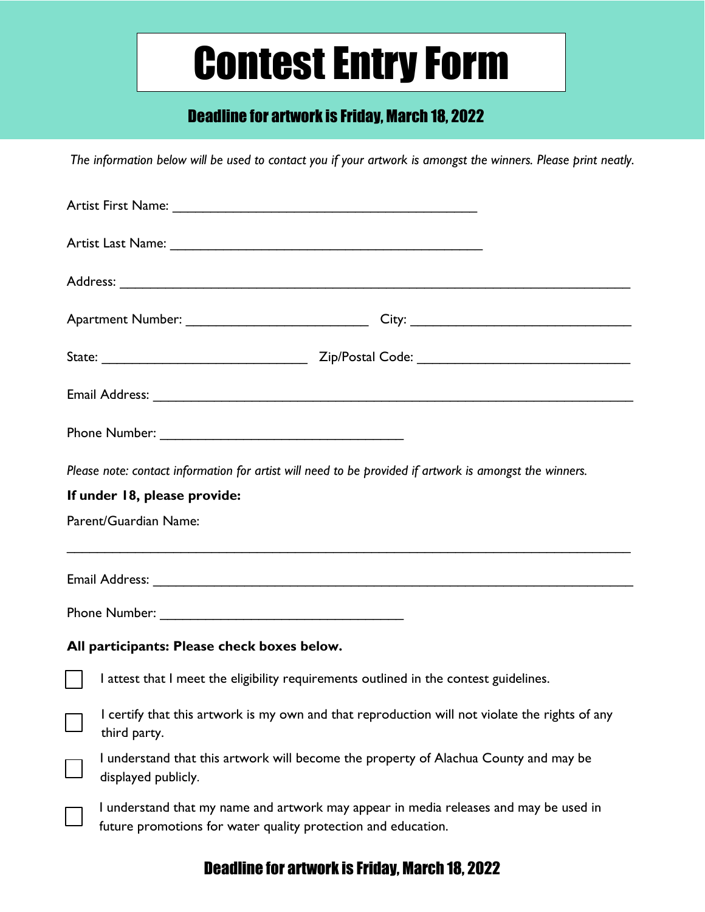### Contest Entry Form

### Deadline for artwork is Friday, March 18, 2022

*The information below will be used to contact you if your artwork is amongst the winners. Please print neatly.*

| Please note: contact information for artist will need to be provided if artwork is amongst the winners. |                                                                                                                                                        |
|---------------------------------------------------------------------------------------------------------|--------------------------------------------------------------------------------------------------------------------------------------------------------|
| If under 18, please provide:                                                                            |                                                                                                                                                        |
| Parent/Guardian Name:                                                                                   |                                                                                                                                                        |
|                                                                                                         |                                                                                                                                                        |
|                                                                                                         |                                                                                                                                                        |
| All participants: Please check boxes below.                                                             |                                                                                                                                                        |
|                                                                                                         | I attest that I meet the eligibility requirements outlined in the contest guidelines.                                                                  |
|                                                                                                         | I certify that this artwork is my own and that reproduction will not violate the rights of any<br>third party.                                         |
|                                                                                                         | I understand that this artwork will become the property of Alachua County and may be<br>displayed publicly.                                            |
|                                                                                                         | I understand that my name and artwork may appear in media releases and may be used in<br>future promotions for water quality protection and education. |

### Deadline for artwork is Friday, March 18, 2022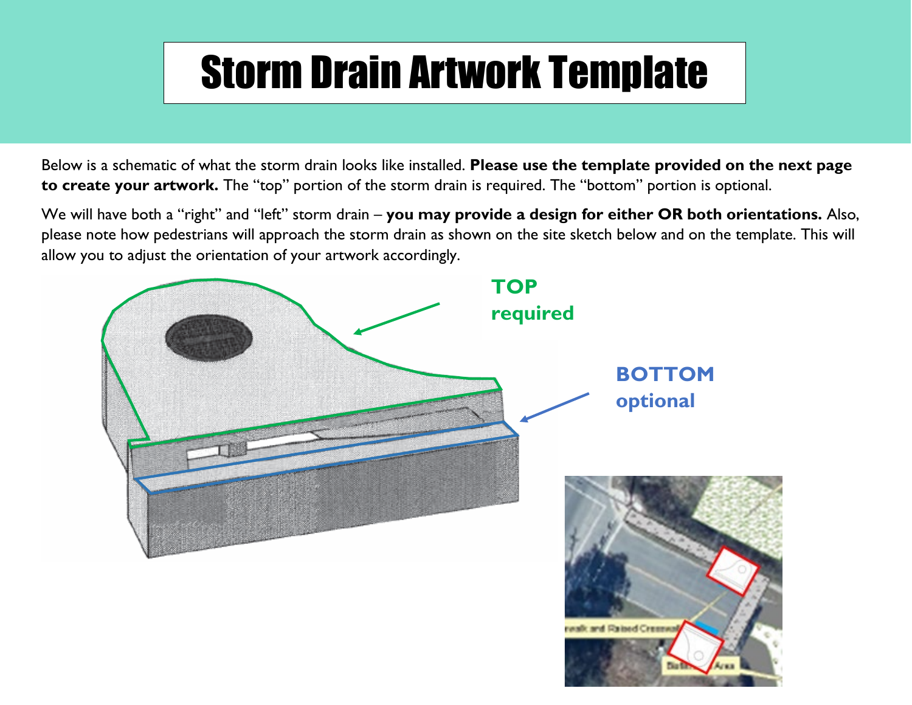## Storm Drain Artwork Template

Below is a schematic of what the storm drain looks like installed. **Please use the template provided on the next page to create your artwork.** The "top" portion of the storm drain is required. The "bottom" portion is optional.

We will have both a "right" and "left" storm drain – **you may provide a design for either OR both orientations.** Also, please note how pedestrians will approach the storm drain as shown on the site sketch below and on the template. This will allow you to adjust the orientation of your artwork accordingly.

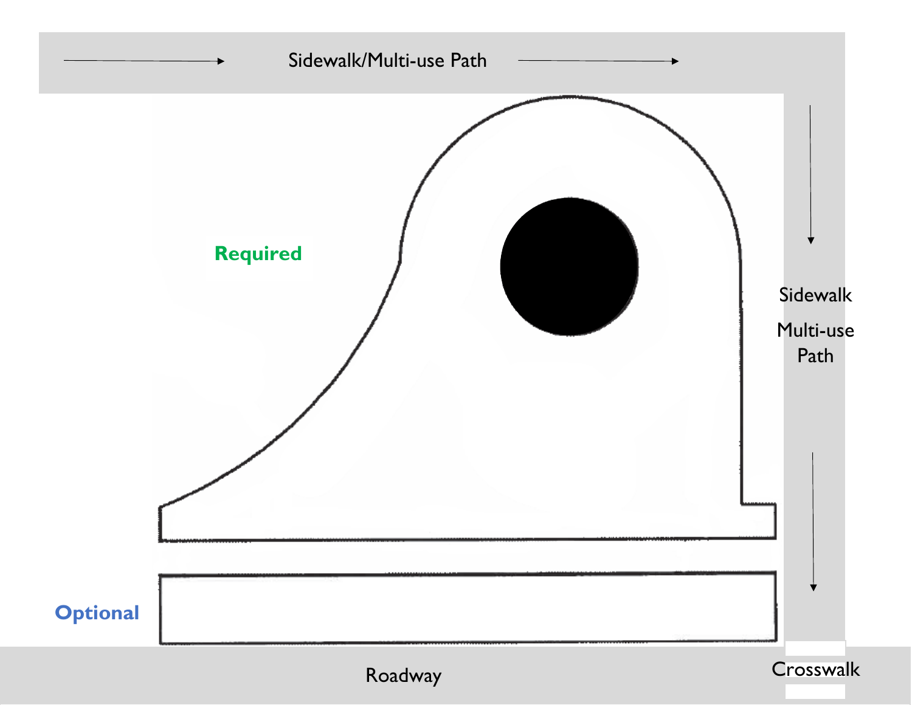